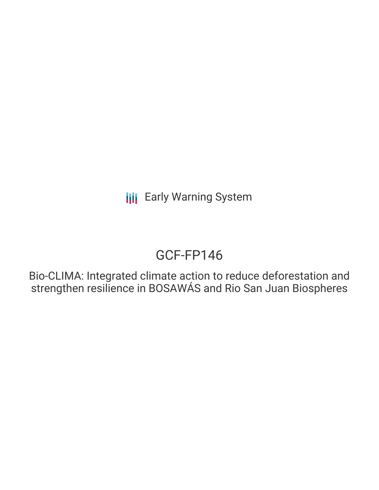# GCF-FP146

Bio-CLIMA: Integrated climate action to reduce deforestation and strengthen resilience in BOSAWÁS and Rio San Juan Biospheres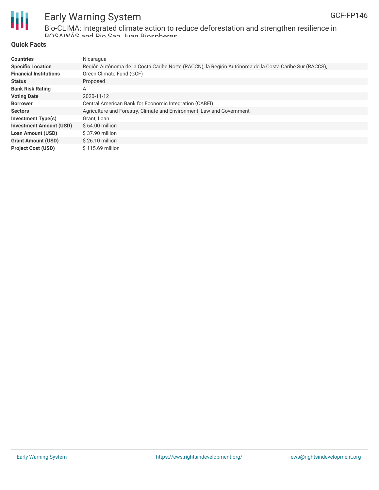

Bio-CLIMA: Integrated climate action to reduce deforestation and strengthen resilience in BOSAWÁS and Rio San Juan Biospheres

#### **Quick Facts**

| <b>Countries</b>               | Nicaragua                                                                                            |
|--------------------------------|------------------------------------------------------------------------------------------------------|
| <b>Specific Location</b>       | Región Autónoma de la Costa Caribe Norte (RACCN), la Región Autónoma de la Costa Caribe Sur (RACCS), |
| <b>Financial Institutions</b>  | Green Climate Fund (GCF)                                                                             |
| <b>Status</b>                  | Proposed                                                                                             |
| <b>Bank Risk Rating</b>        | Α                                                                                                    |
| <b>Voting Date</b>             | 2020-11-12                                                                                           |
| <b>Borrower</b>                | Central American Bank for Economic Integration (CABEI)                                               |
| <b>Sectors</b>                 | Agriculture and Forestry, Climate and Environment, Law and Government                                |
| Investment Type(s)             | Grant, Loan                                                                                          |
| <b>Investment Amount (USD)</b> | $$64.00$ million                                                                                     |
| <b>Loan Amount (USD)</b>       | \$37.90 million                                                                                      |
| <b>Grant Amount (USD)</b>      | $$26.10$ million                                                                                     |
| <b>Project Cost (USD)</b>      | \$115.69 million                                                                                     |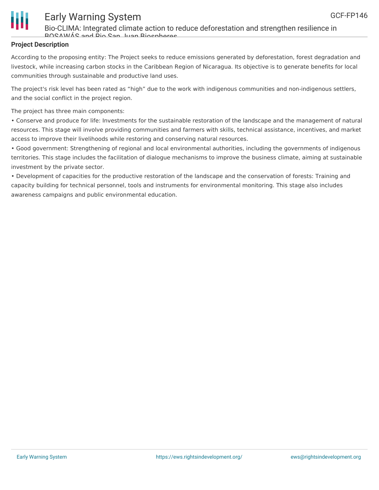

Bio-CLIMA: Integrated climate action to reduce deforestation and strengthen resilience in BOSAWÁS and Rio San Juan Biospheres

#### **Project Description**

According to the proposing entity: The Project seeks to reduce emissions generated by deforestation, forest degradation and livestock, while increasing carbon stocks in the Caribbean Region of Nicaragua. Its objective is to generate benefits for local communities through sustainable and productive land uses.

The project's risk level has been rated as "high" due to the work with indigenous communities and non-indigenous settlers, and the social conflict in the project region.

The project has three main components:

• Conserve and produce for life: Investments for the sustainable restoration of the landscape and the management of natural resources. This stage will involve providing communities and farmers with skills, technical assistance, incentives, and market access to improve their livelihoods while restoring and conserving natural resources.

• Good government: Strengthening of regional and local environmental authorities, including the governments of indigenous territories. This stage includes the facilitation of dialogue mechanisms to improve the business climate, aiming at sustainable investment by the private sector.

• Development of capacities for the productive restoration of the landscape and the conservation of forests: Training and capacity building for technical personnel, tools and instruments for environmental monitoring. This stage also includes awareness campaigns and public environmental education.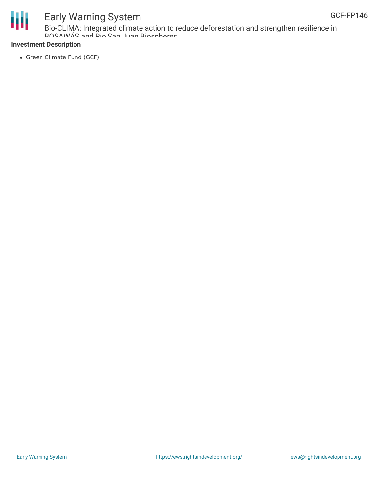

Bio-CLIMA: Integrated climate action to reduce deforestation and strengthen resilience in BOSAWÁS and Rio San Juan Biospheres

#### **Investment Description**

• Green Climate Fund (GCF)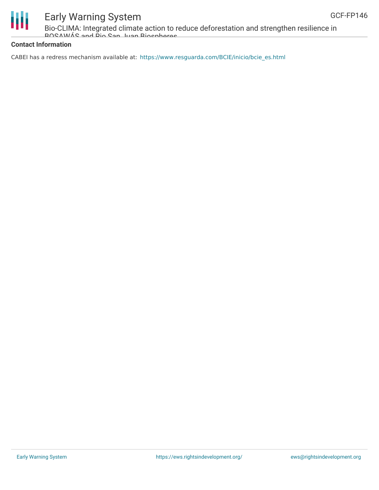

Bio-CLIMA: Integrated climate action to reduce deforestation and strengthen resilience in BOSAWÁS and Rio San Juan Biospheres

#### **Contact Information**

CABEI has a redress mechanism available at: [https://www.resguarda.com/BCIE/inicio/bcie\\_es.html](https://www.resguarda.com/BCIE/inicio/bcie_es.html)